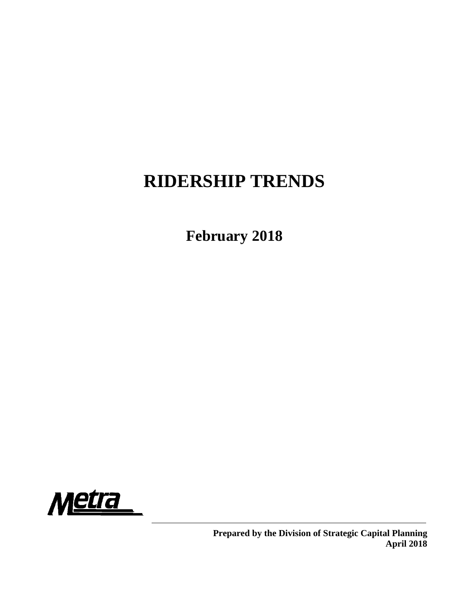# **RIDERSHIP TRENDS**

**February 2018**

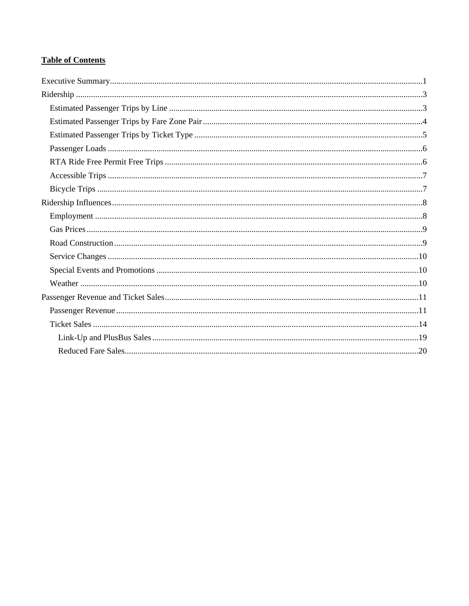## **Table of Contents**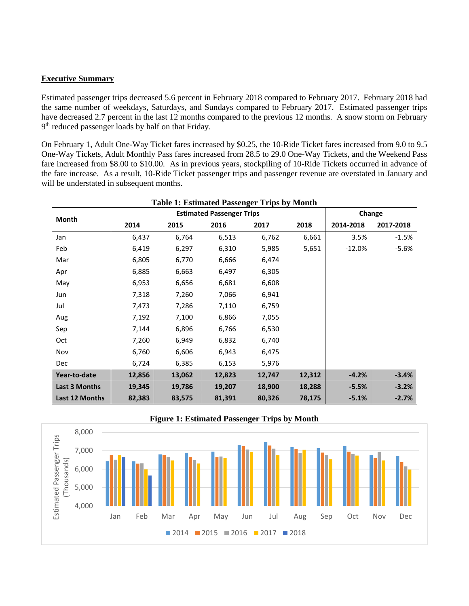#### **Executive Summary**

Estimated passenger trips decreased 5.6 percent in February 2018 compared to February 2017. February 2018 had the same number of weekdays, Saturdays, and Sundays compared to February 2017. Estimated passenger trips have decreased 2.7 percent in the last 12 months compared to the previous 12 months. A snow storm on February  $9<sup>th</sup>$  reduced passenger loads by half on that Friday.

On February 1, Adult One-Way Ticket fares increased by \$0.25, the 10-Ride Ticket fares increased from 9.0 to 9.5 One-Way Tickets, Adult Monthly Pass fares increased from 28.5 to 29.0 One-Way Tickets, and the Weekend Pass fare increased from \$8.00 to \$10.00. As in previous years, stockpiling of 10-Ride Tickets occurred in advance of the fare increase. As a result, 10-Ride Ticket passenger trips and passenger revenue are overstated in January and will be understated in subsequent months.

| <b>Table 1: Estimated Passenger Trips by Month</b> |        |        |                                  |        |        |           |           |  |  |  |
|----------------------------------------------------|--------|--------|----------------------------------|--------|--------|-----------|-----------|--|--|--|
| Month                                              |        |        | <b>Estimated Passenger Trips</b> |        |        | Change    |           |  |  |  |
|                                                    | 2014   | 2015   | 2016                             | 2017   | 2018   | 2014-2018 | 2017-2018 |  |  |  |
| Jan                                                | 6,437  | 6,764  | 6,513                            | 6,762  | 6,661  | 3.5%      | $-1.5%$   |  |  |  |
| Feb                                                | 6,419  | 6,297  | 6,310                            | 5,985  | 5,651  | $-12.0%$  | $-5.6%$   |  |  |  |
| Mar                                                | 6,805  | 6,770  | 6,666                            | 6,474  |        |           |           |  |  |  |
| Apr                                                | 6,885  | 6,663  | 6,497                            | 6,305  |        |           |           |  |  |  |
| May                                                | 6,953  | 6,656  | 6,681                            | 6,608  |        |           |           |  |  |  |
| Jun                                                | 7,318  | 7,260  | 7,066                            | 6,941  |        |           |           |  |  |  |
| Jul                                                | 7,473  | 7,286  | 7,110                            | 6,759  |        |           |           |  |  |  |
| Aug                                                | 7,192  | 7,100  | 6,866                            | 7,055  |        |           |           |  |  |  |
| Sep                                                | 7,144  | 6,896  | 6,766                            | 6,530  |        |           |           |  |  |  |
| Oct                                                | 7,260  | 6,949  | 6,832                            | 6,740  |        |           |           |  |  |  |
| Nov                                                | 6,760  | 6,606  | 6,943                            | 6,475  |        |           |           |  |  |  |
| <b>Dec</b>                                         | 6,724  | 6,385  | 6,153                            | 5,976  |        |           |           |  |  |  |
| Year-to-date                                       | 12,856 | 13,062 | 12,823                           | 12,747 | 12,312 | $-4.2%$   | $-3.4%$   |  |  |  |
| <b>Last 3 Months</b>                               | 19,345 | 19,786 | 19,207                           | 18,900 | 18,288 | $-5.5%$   | $-3.2%$   |  |  |  |
| Last 12 Months                                     | 82,383 | 83,575 | 81,391                           | 80,326 | 78,175 | $-5.1%$   | $-2.7%$   |  |  |  |



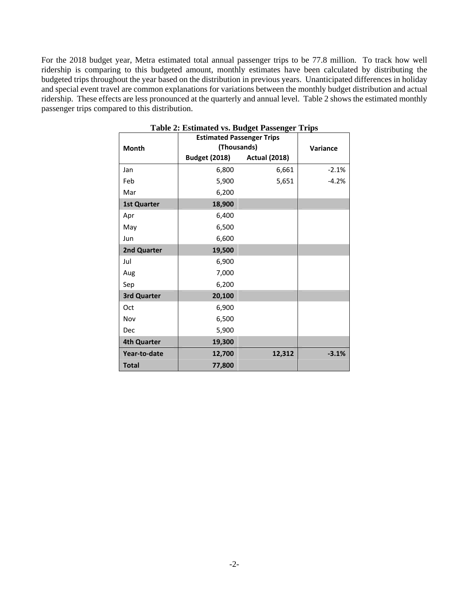For the 2018 budget year, Metra estimated total annual passenger trips to be 77.8 million. To track how well ridership is comparing to this budgeted amount, monthly estimates have been calculated by distributing the budgeted trips throughout the year based on the distribution in previous years. Unanticipated differences in holiday and special event travel are common explanations for variations between the monthly budget distribution and actual ridership. These effects are less pronounced at the quarterly and annual level. Table 2 shows the estimated monthly passenger trips compared to this distribution.

|                    | <b>Estimated Passenger Trips</b> |                      |          |
|--------------------|----------------------------------|----------------------|----------|
| <b>Month</b>       | (Thousands)                      |                      | Variance |
|                    | <b>Budget (2018)</b>             | <b>Actual (2018)</b> |          |
| Jan                | 6,800                            | 6,661                | $-2.1%$  |
| Feb                | 5,900                            | 5,651                | $-4.2%$  |
| Mar                | 6,200                            |                      |          |
| <b>1st Quarter</b> | 18,900                           |                      |          |
| Apr                | 6,400                            |                      |          |
| May                | 6,500                            |                      |          |
| Jun                | 6,600                            |                      |          |
| 2nd Quarter        | 19,500                           |                      |          |
| Jul                | 6,900                            |                      |          |
| Aug                | 7,000                            |                      |          |
| Sep                | 6,200                            |                      |          |
| 3rd Quarter        | 20,100                           |                      |          |
| Oct                | 6,900                            |                      |          |
| Nov                | 6,500                            |                      |          |
| Dec                | 5,900                            |                      |          |
| <b>4th Quarter</b> | 19,300                           |                      |          |
| Year-to-date       | 12,700                           | 12,312               | $-3.1%$  |
| <b>Total</b>       | 77,800                           |                      |          |

**Table 2: Estimated vs. Budget Passenger Trips**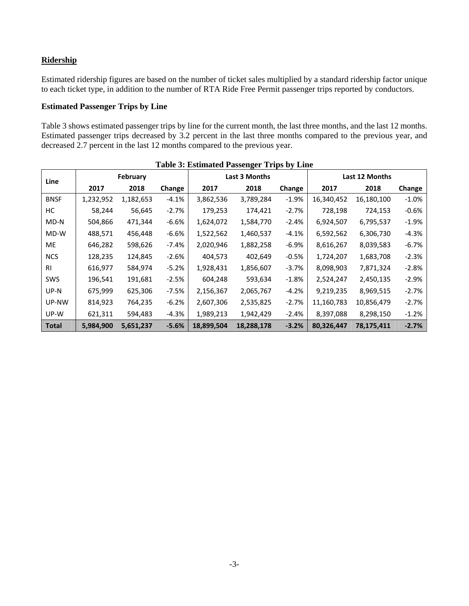#### **Ridership**

Estimated ridership figures are based on the number of ticket sales multiplied by a standard ridership factor unique to each ticket type, in addition to the number of RTA Ride Free Permit passenger trips reported by conductors.

#### **Estimated Passenger Trips by Line**

Table 3 shows estimated passenger trips by line for the current month, the last three months, and the last 12 months. Estimated passenger trips decreased by 3.2 percent in the last three months compared to the previous year, and decreased 2.7 percent in the last 12 months compared to the previous year.

| Table 5: Estimated I assenger Trips by Emic |           |           |         |            |               |          |                |            |         |  |  |
|---------------------------------------------|-----------|-----------|---------|------------|---------------|----------|----------------|------------|---------|--|--|
| Line                                        |           | February  |         |            | Last 3 Months |          | Last 12 Months |            |         |  |  |
|                                             | 2017      | 2018      | Change  | 2017       | 2018          | Change   | 2017           | 2018       | Change  |  |  |
| <b>BNSF</b>                                 | 1,232,952 | 1,182,653 | $-4.1%$ | 3,862,536  | 3,789,284     | $-1.9%$  | 16,340,452     | 16,180,100 | $-1.0%$ |  |  |
| НC                                          | 58,244    | 56,645    | $-2.7%$ | 179,253    | 174,421       | $-2.7%$  | 728,198        | 724,153    | $-0.6%$ |  |  |
| MD-N                                        | 504,866   | 471,344   | $-6.6%$ | 1,624,072  | 1,584,770     | $-2.4%$  | 6,924,507      | 6,795,537  | $-1.9%$ |  |  |
| MD-W                                        | 488,571   | 456,448   | $-6.6%$ | 1,522,562  | 1,460,537     | $-4.1%$  | 6,592,562      | 6,306,730  | $-4.3%$ |  |  |
| ME                                          | 646,282   | 598,626   | $-7.4%$ | 2,020,946  | 1,882,258     | $-6.9%$  | 8,616,267      | 8,039,583  | $-6.7%$ |  |  |
| <b>NCS</b>                                  | 128,235   | 124,845   | $-2.6%$ | 404,573    | 402,649       | $-0.5%$  | 1,724,207      | 1,683,708  | $-2.3%$ |  |  |
| <b>RI</b>                                   | 616,977   | 584,974   | $-5.2%$ | 1,928,431  | 1,856,607     | $-3.7\%$ | 8,098,903      | 7,871,324  | $-2.8%$ |  |  |
| <b>SWS</b>                                  | 196,541   | 191,681   | $-2.5%$ | 604,248    | 593,634       | $-1.8%$  | 2,524,247      | 2,450,135  | $-2.9%$ |  |  |
| UP-N                                        | 675,999   | 625,306   | -7.5%   | 2,156,367  | 2,065,767     | $-4.2%$  | 9,219,235      | 8,969,515  | $-2.7%$ |  |  |
| UP-NW                                       | 814,923   | 764,235   | $-6.2%$ | 2,607,306  | 2,535,825     | $-2.7%$  | 11,160,783     | 10,856,479 | $-2.7%$ |  |  |
| UP-W                                        | 621,311   | 594,483   | $-4.3%$ | 1,989,213  | 1,942,429     | $-2.4%$  | 8,397,088      | 8,298,150  | $-1.2%$ |  |  |
| <b>Total</b>                                | 5,984,900 | 5,651,237 | $-5.6%$ | 18,899,504 | 18,288,178    | $-3.2%$  | 80,326,447     | 78,175,411 | $-2.7%$ |  |  |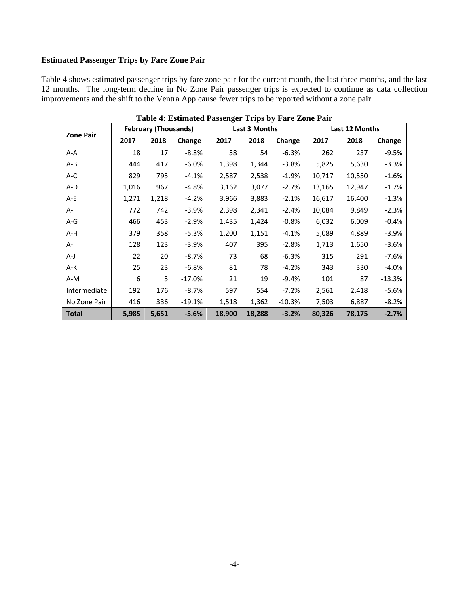## **Estimated Passenger Trips by Fare Zone Pair**

Table 4 shows estimated passenger trips by fare zone pair for the current month, the last three months, and the last 12 months. The long-term decline in No Zone Pair passenger trips is expected to continue as data collection improvements and the shift to the Ventra App cause fewer trips to be reported without a zone pair.

| <b>Zone Pair</b> |       | <b>February (Thousands)</b> |          |        | <b>Last 3 Months</b> |          | Last 12 Months |        |          |  |
|------------------|-------|-----------------------------|----------|--------|----------------------|----------|----------------|--------|----------|--|
|                  | 2017  | 2018                        | Change   | 2017   | 2018                 | Change   | 2017           | 2018   | Change   |  |
| $A-A$            | 18    | 17                          | $-8.8%$  | 58     | 54                   | $-6.3%$  | 262            | 237    | $-9.5%$  |  |
| $A - B$          | 444   | 417                         | $-6.0%$  | 1,398  | 1,344                | $-3.8%$  | 5,825          | 5,630  | $-3.3%$  |  |
| A-C              | 829   | 795                         | $-4.1%$  | 2,587  | 2,538                | $-1.9%$  | 10,717         | 10,550 | $-1.6%$  |  |
| A-D              | 1,016 | 967                         | $-4.8%$  | 3,162  | 3,077                | $-2.7%$  | 13,165         | 12,947 | $-1.7%$  |  |
| $A-E$            | 1,271 | 1,218                       | $-4.2%$  | 3,966  | 3,883                | $-2.1%$  | 16,617         | 16,400 | $-1.3%$  |  |
| A-F              | 772   | 742                         | $-3.9%$  | 2,398  | 2,341                | $-2.4%$  | 10,084         | 9,849  | $-2.3%$  |  |
| $A-G$            | 466   | 453                         | $-2.9%$  | 1,435  | 1,424                | $-0.8%$  | 6,032          | 6,009  | $-0.4%$  |  |
| A-H              | 379   | 358                         | $-5.3%$  | 1,200  | 1,151                | $-4.1%$  | 5,089          | 4,889  | $-3.9%$  |  |
| $A-I$            | 128   | 123                         | $-3.9%$  | 407    | 395                  | $-2.8%$  | 1,713          | 1,650  | $-3.6%$  |  |
| $A-J$            | 22    | 20                          | $-8.7%$  | 73     | 68                   | $-6.3%$  | 315            | 291    | $-7.6%$  |  |
| $A-K$            | 25    | 23                          | $-6.8%$  | 81     | 78                   | $-4.2%$  | 343            | 330    | $-4.0%$  |  |
| $A-M$            | 6     | 5                           | $-17.0%$ | 21     | 19                   | $-9.4%$  | 101            | 87     | $-13.3%$ |  |
| Intermediate     | 192   | 176                         | $-8.7%$  | 597    | 554                  | $-7.2%$  | 2,561          | 2,418  | $-5.6%$  |  |
| No Zone Pair     | 416   | 336                         | $-19.1%$ | 1,518  | 1,362                | $-10.3%$ | 7,503          | 6,887  | $-8.2%$  |  |
| <b>Total</b>     | 5,985 | 5,651                       | $-5.6%$  | 18,900 | 18,288               | $-3.2%$  | 80,326         | 78,175 | $-2.7%$  |  |

**Table 4: Estimated Passenger Trips by Fare Zone Pair**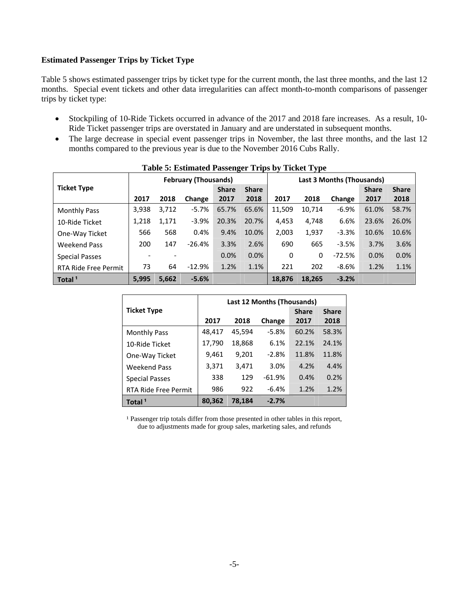#### **Estimated Passenger Trips by Ticket Type**

Table 5 shows estimated passenger trips by ticket type for the current month, the last three months, and the last 12 months. Special event tickets and other data irregularities can affect month-to-month comparisons of passenger trips by ticket type:

- Stockpiling of 10-Ride Tickets occurred in advance of the 2017 and 2018 fare increases. As a result, 10- Ride Ticket passenger trips are overstated in January and are understated in subsequent months.
- The large decrease in special event passenger trips in November, the last three months, and the last 12 months compared to the previous year is due to the November 2016 Cubs Rally.

|                             |       |       | <b>February (Thousands)</b> |              |              | <b>Last 3 Months (Thousands)</b> |        |          |              |              |
|-----------------------------|-------|-------|-----------------------------|--------------|--------------|----------------------------------|--------|----------|--------------|--------------|
| <b>Ticket Type</b>          |       |       |                             | <b>Share</b> | <b>Share</b> |                                  |        |          | <b>Share</b> | <b>Share</b> |
|                             | 2017  | 2018  | Change                      | 2017         | 2018         | 2017                             | 2018   | Change   | 2017         | 2018         |
| <b>Monthly Pass</b>         | 3,938 | 3,712 | $-5.7%$                     | 65.7%        | 65.6%        | 11,509                           | 10,714 | $-6.9%$  | 61.0%        | 58.7%        |
| 10-Ride Ticket              | 1,218 | 1,171 | $-3.9%$                     | 20.3%        | 20.7%        | 4,453                            | 4,748  | 6.6%     | 23.6%        | 26.0%        |
| One-Way Ticket              | 566   | 568   | 0.4%                        | 9.4%         | 10.0%        | 2,003                            | 1,937  | $-3.3%$  | 10.6%        | 10.6%        |
| <b>Weekend Pass</b>         | 200   | 147   | $-26.4%$                    | 3.3%         | 2.6%         | 690                              | 665    | $-3.5%$  | 3.7%         | 3.6%         |
| <b>Special Passes</b>       |       |       |                             | 0.0%         | 0.0%         | $\Omega$                         | 0      | $-72.5%$ | 0.0%         | 0.0%         |
| <b>RTA Ride Free Permit</b> | 73    | 64    | $-12.9%$                    | 1.2%         | 1.1%         | 221                              | 202    | $-8.6%$  | 1.2%         | 1.1%         |
| Total <sup>1</sup>          | 5,995 | 5,662 | $-5.6%$                     |              |              | 18,876                           | 18,265 | $-3.2%$  |              |              |

|  |  | <b>Table 5: Estimated Passenger Trips by Ticket Type</b> |
|--|--|----------------------------------------------------------|
|  |  |                                                          |

|                       | Last 12 Months (Thousands) |        |          |              |              |  |  |  |  |
|-----------------------|----------------------------|--------|----------|--------------|--------------|--|--|--|--|
| <b>Ticket Type</b>    |                            |        |          | <b>Share</b> | <b>Share</b> |  |  |  |  |
|                       | 2017                       | 2018   | Change   | 2017         | 2018         |  |  |  |  |
| <b>Monthly Pass</b>   | 48,417                     | 45,594 | $-5.8%$  | 60.2%        | 58.3%        |  |  |  |  |
| 10-Ride Ticket        | 17,790                     | 18,868 | 6.1%     | 22.1%        | 24.1%        |  |  |  |  |
| One-Way Ticket        | 9,461                      | 9,201  | $-2.8%$  | 11.8%        | 11.8%        |  |  |  |  |
| <b>Weekend Pass</b>   | 3,371                      | 3,471  | 3.0%     | 4.2%         | 4.4%         |  |  |  |  |
| <b>Special Passes</b> | 338                        | 129    | $-61.9%$ | 0.4%         | 0.2%         |  |  |  |  |
| RTA Ride Free Permit  | 986                        | 922    | $-6.4%$  | 1.2%         | 1.2%         |  |  |  |  |
| Total <sup>1</sup>    | 80,362                     | 78.184 | $-2.7%$  |              |              |  |  |  |  |

<sup>1</sup> Passenger trip totals differ from those presented in other tables in this report, due to adjustments made for group sales, marketing sales, and refunds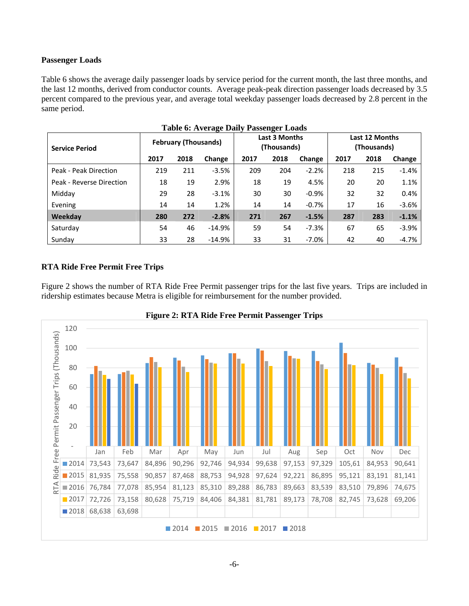#### **Passenger Loads**

Table 6 shows the average daily passenger loads by service period for the current month, the last three months, and the last 12 months, derived from conductor counts. Average peak-peak direction passenger loads decreased by 3.5 percent compared to the previous year, and average total weekday passenger loads decreased by 2.8 percent in the same period.

| <b>Service Period</b>    |      | <b>February (Thousands)</b> | 0        | Last 3 Months<br>(Thousands) |      |         | Last 12 Months<br>(Thousands) |      |         |
|--------------------------|------|-----------------------------|----------|------------------------------|------|---------|-------------------------------|------|---------|
|                          | 2017 | 2018                        | Change   | 2017                         | 2018 | Change  | 2017                          | 2018 | Change  |
| Peak - Peak Direction    | 219  | 211                         | $-3.5%$  | 209                          | 204  | $-2.2%$ | 218                           | 215  | $-1.4%$ |
| Peak - Reverse Direction | 18   | 19                          | 2.9%     | 18                           | 19   | 4.5%    | 20                            | 20   | 1.1%    |
| Midday                   | 29   | 28                          | $-3.1%$  | 30                           | 30   | $-0.9%$ | 32                            | 32   | 0.4%    |
| Evening                  | 14   | 14                          | 1.2%     | 14                           | 14   | $-0.7%$ | 17                            | 16   | $-3.6%$ |
| Weekday                  | 280  | 272                         | $-2.8%$  | 271                          | 267  | $-1.5%$ | 287                           | 283  | $-1.1%$ |
| Saturday                 | 54   | 46                          | $-14.9%$ | 59                           | 54   | $-7.3%$ | 67                            | 65   | $-3.9%$ |
| Sunday                   | 33   | 28                          | $-14.9%$ | 33                           | 31   | $-7.0%$ | 42                            | 40   | $-4.7%$ |

#### **Table 6: Average Daily Passenger Loads**

#### **RTA Ride Free Permit Free Trips**

Figure 2 shows the number of RTA Ride Free Permit passenger trips for the last five years. Trips are included in ridership estimates because Metra is eligible for reimbursement for the number provided.



#### **Figure 2: RTA Ride Free Permit Passenger Trips**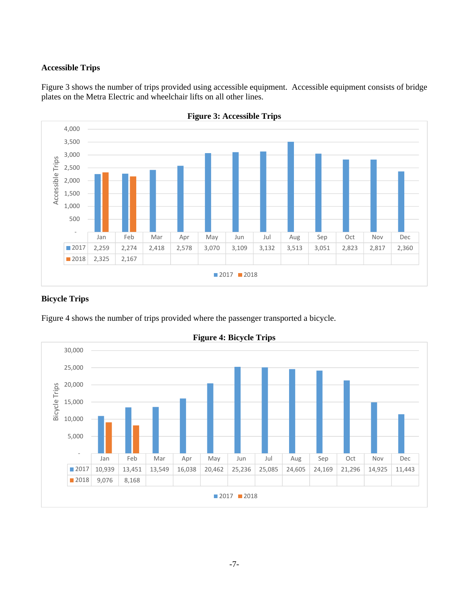#### **Accessible Trips**

Figure 3 shows the number of trips provided using accessible equipment. Accessible equipment consists of bridge plates on the Metra Electric and wheelchair lifts on all other lines.





## **Bicycle Trips**

Figure 4 shows the number of trips provided where the passenger transported a bicycle.



**Figure 4: Bicycle Trips**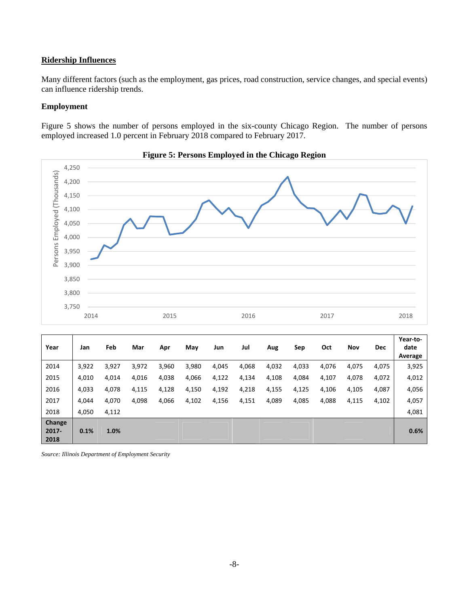#### **Ridership Influences**

Many different factors (such as the employment, gas prices, road construction, service changes, and special events) can influence ridership trends.

#### **Employment**

Figure 5 shows the number of persons employed in the six-county Chicago Region. The number of persons employed increased 1.0 percent in February 2018 compared to February 2017.





| Year                       | Jan   | Feb   | Mar   | Apr   | May   | Jun   | Jul   | Aug   | Sep   | Oct   | Nov   | <b>Dec</b> | Year-to-<br>date<br>Average |
|----------------------------|-------|-------|-------|-------|-------|-------|-------|-------|-------|-------|-------|------------|-----------------------------|
| 2014                       | 3,922 | 3,927 | 3,972 | 3,960 | 3,980 | 4,045 | 4,068 | 4,032 | 4,033 | 4,076 | 4,075 | 4,075      | 3,925                       |
| 2015                       | 4,010 | 4,014 | 4,016 | 4,038 | 4,066 | 4,122 | 4,134 | 4,108 | 4,084 | 4,107 | 4,078 | 4,072      | 4,012                       |
| 2016                       | 4,033 | 4,078 | 4,115 | 4,128 | 4,150 | 4,192 | 4,218 | 4,155 | 4,125 | 4,106 | 4,105 | 4,087      | 4,056                       |
| 2017                       | 4.044 | 4,070 | 4,098 | 4,066 | 4,102 | 4,156 | 4,151 | 4,089 | 4,085 | 4,088 | 4,115 | 4,102      | 4,057                       |
| 2018                       | 4,050 | 4,112 |       |       |       |       |       |       |       |       |       |            | 4,081                       |
| Change<br>$2017 -$<br>2018 | 0.1%  | 1.0%  |       |       |       |       |       |       |       |       |       |            | 0.6%                        |

*Source: Illinois Department of Employment Security*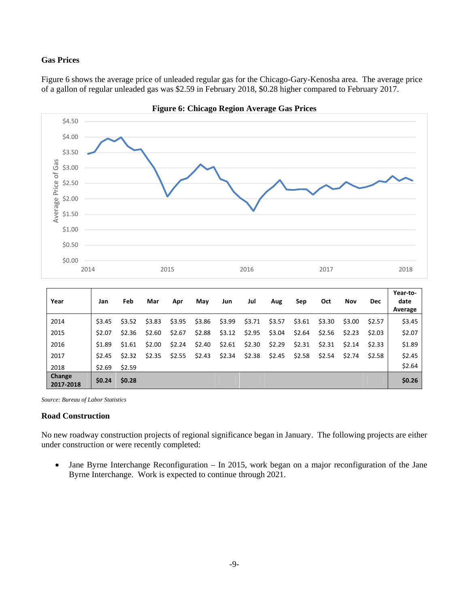#### **Gas Prices**

Figure 6 shows the average price of unleaded regular gas for the Chicago-Gary-Kenosha area. The average price of a gallon of regular unleaded gas was \$2.59 in February 2018, \$0.28 higher compared to February 2017.



**Figure 6: Chicago Region Average Gas Prices** 

|  | Source: Bureau of Labor Statistics |
|--|------------------------------------|

#### **Road Construction**

**Change**

No new roadway construction projects of regional significance began in January. The following projects are either under construction or were recently completed:

2017 \$2.45 \$2.32 \$2.35 \$2.55 \$2.43 \$2.34 \$2.38 \$2.45 \$2.58 \$2.54 \$2.74 \$2.58 \$2.45  $2018$  \$2.69 \$2.59 \$0.00 \$0.00 \$0.00 \$0.00 \$0.00 \$0.00 \$0.00 \$1.64

**<sup>2017</sup>‐<sup>2018</sup> \$0.24 \$0.28 \$0.00 \$0.00 \$0.00 \$0.00 \$0.00 \$0.00 \$0.00 \$0.00 \$0.00 \$0.00 \$0.26**

 Jane Byrne Interchange Reconfiguration – In 2015, work began on a major reconfiguration of the Jane Byrne Interchange. Work is expected to continue through 2021.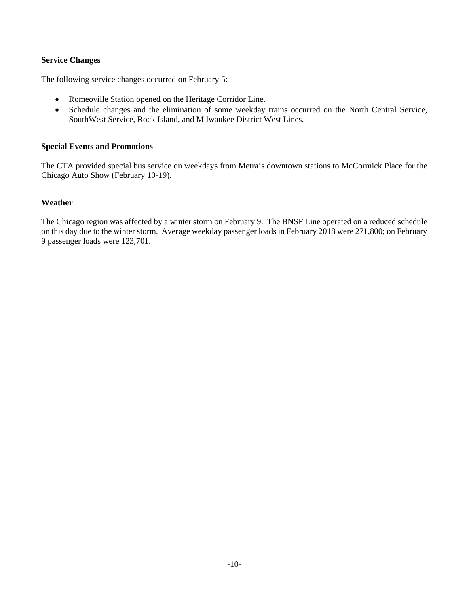#### **Service Changes**

The following service changes occurred on February 5:

- Romeoville Station opened on the Heritage Corridor Line.
- Schedule changes and the elimination of some weekday trains occurred on the North Central Service, SouthWest Service, Rock Island, and Milwaukee District West Lines.

#### **Special Events and Promotions**

The CTA provided special bus service on weekdays from Metra's downtown stations to McCormick Place for the Chicago Auto Show (February 10-19).

#### **Weather**

The Chicago region was affected by a winter storm on February 9. The BNSF Line operated on a reduced schedule on this day due to the winter storm. Average weekday passenger loads in February 2018 were 271,800; on February 9 passenger loads were 123,701.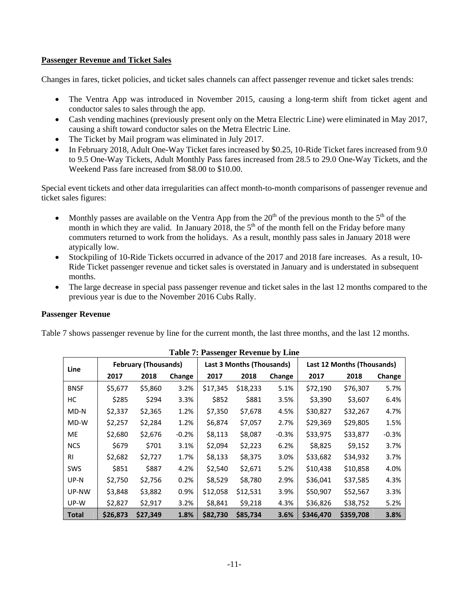#### **Passenger Revenue and Ticket Sales**

Changes in fares, ticket policies, and ticket sales channels can affect passenger revenue and ticket sales trends:

- The Ventra App was introduced in November 2015, causing a long-term shift from ticket agent and conductor sales to sales through the app.
- Cash vending machines (previously present only on the Metra Electric Line) were eliminated in May 2017, causing a shift toward conductor sales on the Metra Electric Line.
- The Ticket by Mail program was eliminated in July 2017.
- In February 2018, Adult One-Way Ticket fares increased by \$0.25, 10-Ride Ticket fares increased from 9.0 to 9.5 One-Way Tickets, Adult Monthly Pass fares increased from 28.5 to 29.0 One-Way Tickets, and the Weekend Pass fare increased from \$8.00 to \$10.00.

Special event tickets and other data irregularities can affect month-to-month comparisons of passenger revenue and ticket sales figures:

- Monthly passes are available on the Ventra App from the  $20<sup>th</sup>$  of the previous month to the  $5<sup>th</sup>$  of the month in which they are valid. In January 2018, the  $5<sup>th</sup>$  of the month fell on the Friday before many commuters returned to work from the holidays. As a result, monthly pass sales in January 2018 were atypically low.
- Stockpiling of 10-Ride Tickets occurred in advance of the 2017 and 2018 fare increases. As a result, 10- Ride Ticket passenger revenue and ticket sales is overstated in January and is understated in subsequent months.
- The large decrease in special pass passenger revenue and ticket sales in the last 12 months compared to the previous year is due to the November 2016 Cubs Rally.

#### **Passenger Revenue**

Table 7 shows passenger revenue by line for the current month, the last three months, and the last 12 months.

|              |          |                             |         | Table 7. I assenger revenue by Ellie |                                  |         |                            |           |         |  |
|--------------|----------|-----------------------------|---------|--------------------------------------|----------------------------------|---------|----------------------------|-----------|---------|--|
| Line         |          | <b>February (Thousands)</b> |         |                                      | <b>Last 3 Months (Thousands)</b> |         | Last 12 Months (Thousands) |           |         |  |
|              | 2017     | 2018                        | Change  | 2017                                 | 2018                             | Change  | 2017                       | 2018      | Change  |  |
| <b>BNSF</b>  | \$5,677  | \$5,860                     | 3.2%    | \$17,345                             | \$18,233                         | 5.1%    | \$72,190                   | \$76,307  | 5.7%    |  |
| НC           | \$285    | \$294                       | 3.3%    | \$852                                | \$881                            | 3.5%    | \$3,390                    | \$3,607   | 6.4%    |  |
| MD-N         | \$2,337  | \$2,365                     | 1.2%    | \$7,350                              | \$7,678                          | 4.5%    | \$30,827                   | \$32,267  | 4.7%    |  |
| MD-W         | \$2,257  | \$2,284                     | 1.2%    | \$6,874                              | \$7,057                          | 2.7%    | \$29,369                   | \$29,805  | 1.5%    |  |
| ME           | \$2,680  | \$2,676                     | $-0.2%$ | \$8,113                              | \$8,087                          | $-0.3%$ | \$33,975                   | \$33,877  | $-0.3%$ |  |
| <b>NCS</b>   | \$679    | \$701                       | 3.1%    | \$2,094                              | \$2,223                          | 6.2%    | \$8,825                    | \$9,152   | 3.7%    |  |
| <b>RI</b>    | \$2,682  | \$2,727                     | 1.7%    | \$8,133                              | \$8,375                          | 3.0%    | \$33,682                   | \$34,932  | 3.7%    |  |
| <b>SWS</b>   | \$851    | \$887                       | 4.2%    | \$2,540                              | \$2,671                          | 5.2%    | \$10,438                   | \$10,858  | 4.0%    |  |
| UP-N         | \$2,750  | \$2,756                     | 0.2%    | \$8,529                              | \$8,780                          | 2.9%    | \$36,041                   | \$37,585  | 4.3%    |  |
| UP-NW        | \$3,848  | \$3,882                     | 0.9%    | \$12,058                             | \$12,531                         | 3.9%    | \$50,907                   | \$52,567  | 3.3%    |  |
| UP-W         | \$2,827  | \$2,917                     | 3.2%    | \$8,841                              | \$9,218                          | 4.3%    | \$36,826                   | \$38,752  | 5.2%    |  |
| <b>Total</b> | \$26,873 | \$27,349                    | 1.8%    | \$82,730                             | \$85,734                         | 3.6%    | \$346,470                  | \$359,708 | 3.8%    |  |

#### **Table 7: Passenger Revenue by Line**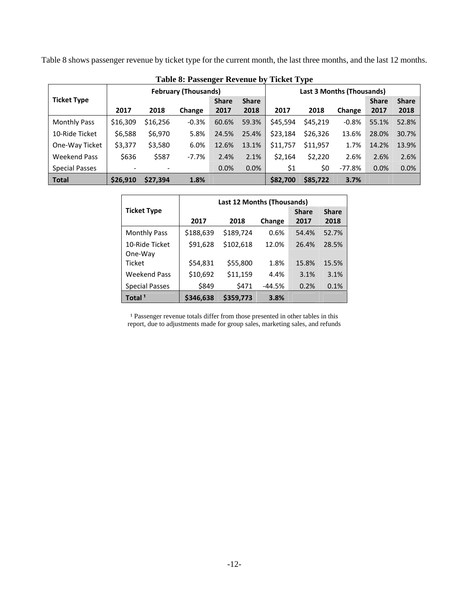Table 8 shows passenger revenue by ticket type for the current month, the last three months, and the last 12 months.

|                       |          |          |                             | Table 6. I assenger incremed by Ticket Type |              |          |                                  |         |              |              |
|-----------------------|----------|----------|-----------------------------|---------------------------------------------|--------------|----------|----------------------------------|---------|--------------|--------------|
|                       |          |          | <b>February (Thousands)</b> |                                             |              |          | <b>Last 3 Months (Thousands)</b> |         |              |              |
| <b>Ticket Type</b>    |          |          |                             | <b>Share</b>                                | <b>Share</b> |          |                                  |         | <b>Share</b> | <b>Share</b> |
|                       | 2017     | 2018     | Change                      | 2017                                        | 2018         | 2017     | 2018                             | Change  | 2017         | 2018         |
| <b>Monthly Pass</b>   | \$16,309 | \$16,256 | $-0.3%$                     | 60.6%                                       | 59.3%        | \$45,594 | \$45,219                         | $-0.8%$ | 55.1%        | 52.8%        |
| 10-Ride Ticket        | \$6,588  | \$6,970  | 5.8%                        | 24.5%                                       | 25.4%        | \$23,184 | \$26,326                         | 13.6%   | 28.0%        | 30.7%        |
| One-Way Ticket        | \$3,377  | \$3,580  | 6.0%                        | 12.6%                                       | 13.1%        | \$11,757 | \$11,957                         | 1.7%    | 14.2%        | 13.9%        |
| Weekend Pass          | \$636    | \$587    | -7.7%                       | 2.4%                                        | 2.1%         | \$2,164  | \$2,220                          | 2.6%    | 2.6%         | 2.6%         |
| <b>Special Passes</b> |          |          |                             | 0.0%                                        | 0.0%         | \$1      | \$0                              | -77.8%  | 0.0%         | 0.0%         |
| <b>Total</b>          | \$26,910 | \$27,394 | 1.8%                        |                                             |              | \$82,700 | \$85,722                         | 3.7%    |              |              |

**Table 8: Passenger Revenue by Ticket Type** 

|                       | <b>Last 12 Months (Thousands)</b> |           |          |              |              |  |  |  |
|-----------------------|-----------------------------------|-----------|----------|--------------|--------------|--|--|--|
| <b>Ticket Type</b>    |                                   |           |          | <b>Share</b> | <b>Share</b> |  |  |  |
|                       | 2017                              | 2018      | Change   | 2017         | 2018         |  |  |  |
| <b>Monthly Pass</b>   | \$188,639                         | \$189,724 | 0.6%     | 54.4%        | 52.7%        |  |  |  |
| 10-Ride Ticket        | \$91,628                          | \$102,618 | 12.0%    | 26.4%        | 28.5%        |  |  |  |
| One-Way               |                                   |           |          |              |              |  |  |  |
| <b>Ticket</b>         | \$54,831                          | \$55,800  | 1.8%     | 15.8%        | 15.5%        |  |  |  |
| <b>Weekend Pass</b>   | \$10,692                          | \$11,159  | 4.4%     | 3.1%         | 3.1%         |  |  |  |
| <b>Special Passes</b> | \$849                             | \$471     | $-44.5%$ | 0.2%         | 0.1%         |  |  |  |
| Total <sup>1</sup>    | \$346,638                         | \$359,773 | 3.8%     |              |              |  |  |  |

<sup>1</sup> Passenger revenue totals differ from those presented in other tables in this report, due to adjustments made for group sales, marketing sales, and refunds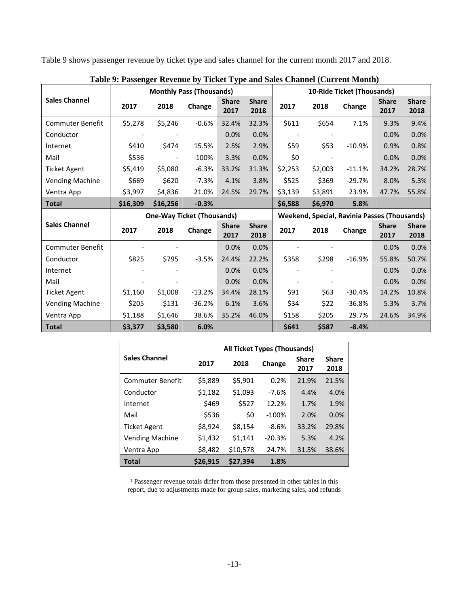Table 9 shows passenger revenue by ticket type and sales channel for the current month 2017 and 2018.

|                         |          | <b>Monthly Pass (Thousands)</b>   |          |                      |                      |         |         | 10-Ride Ticket (Thousands)                          |                      |                      |
|-------------------------|----------|-----------------------------------|----------|----------------------|----------------------|---------|---------|-----------------------------------------------------|----------------------|----------------------|
| <b>Sales Channel</b>    | 2017     | 2018                              | Change   | <b>Share</b><br>2017 | <b>Share</b><br>2018 | 2017    | 2018    | Change                                              | <b>Share</b><br>2017 | <b>Share</b><br>2018 |
| <b>Commuter Benefit</b> | \$5,278  | \$5,246                           | $-0.6%$  | 32.4%                | 32.3%                | \$611   | \$654   | 7.1%                                                | 9.3%                 | 9.4%                 |
| Conductor               |          |                                   |          | 0.0%                 | 0.0%                 |         |         |                                                     | 0.0%                 | 0.0%                 |
| Internet                | \$410    | \$474                             | 15.5%    | 2.5%                 | 2.9%                 | \$59    | \$53    | $-10.9%$                                            | 0.9%                 | 0.8%                 |
| Mail                    | \$536    |                                   | $-100%$  | 3.3%                 | 0.0%                 | \$0     |         |                                                     | 0.0%                 | 0.0%                 |
| <b>Ticket Agent</b>     | \$5,419  | \$5,080                           | $-6.3%$  | 33.2%                | 31.3%                | \$2,253 | \$2,003 | $-11.1%$                                            | 34.2%                | 28.7%                |
| <b>Vending Machine</b>  | \$669    | \$620                             | $-7.3%$  | 4.1%                 | 3.8%                 | \$525   | \$369   | $-29.7%$                                            | 8.0%                 | 5.3%                 |
| Ventra App              | \$3,997  | \$4,836                           | 21.0%    | 24.5%                | 29.7%                | \$3,139 | \$3,891 | 23.9%                                               | 47.7%                | 55.8%                |
| <b>Total</b>            | \$16,309 | \$16,256                          | $-0.3%$  |                      |                      | \$6,588 | \$6,970 | 5.8%                                                |                      |                      |
|                         |          |                                   |          |                      |                      |         |         |                                                     |                      |                      |
|                         |          | <b>One-Way Ticket (Thousands)</b> |          |                      |                      |         |         | <b>Weekend, Special, Ravinia Passes (Thousands)</b> |                      |                      |
| <b>Sales Channel</b>    | 2017     | 2018                              | Change   | <b>Share</b><br>2017 | <b>Share</b><br>2018 | 2017    | 2018    | Change                                              | <b>Share</b><br>2017 | <b>Share</b><br>2018 |
| <b>Commuter Benefit</b> |          |                                   |          | 0.0%                 | 0.0%                 |         |         |                                                     | 0.0%                 | 0.0%                 |
| Conductor               | \$825    | \$795                             | $-3.5%$  | 24.4%                | 22.2%                | \$358   | \$298   | $-16.9%$                                            | 55.8%                | 50.7%                |
| Internet                |          |                                   |          | 0.0%                 | 0.0%                 |         |         |                                                     | 0.0%                 | 0.0%                 |
| Mail                    |          |                                   |          | 0.0%                 | 0.0%                 |         |         |                                                     | 0.0%                 | 0.0%                 |
| <b>Ticket Agent</b>     | \$1,160  | \$1,008                           | $-13.2%$ | 34.4%                | 28.1%                | \$91    | \$63    | $-30.4%$                                            | 14.2%                | 10.8%                |
| <b>Vending Machine</b>  | \$205    | \$131                             | $-36.2%$ | 6.1%                 | 3.6%                 | \$34    | \$22    | $-36.8%$                                            | 5.3%                 | 3.7%                 |
| Ventra App              | \$1,188  | \$1,646                           | 38.6%    | 35.2%                | 46.0%                | \$158   | \$205   | 29.7%                                               | 24.6%                | 34.9%                |

|  |  |  | Table 9: Passenger Revenue by Ticket Type and Sales Channel (Current Month) |
|--|--|--|-----------------------------------------------------------------------------|
|  |  |  |                                                                             |

|                        | All Ticket Types (Thousands) |          |          |                      |                      |  |  |  |  |  |
|------------------------|------------------------------|----------|----------|----------------------|----------------------|--|--|--|--|--|
| <b>Sales Channel</b>   | 2017                         | 2018     | Change   | <b>Share</b><br>2017 | <b>Share</b><br>2018 |  |  |  |  |  |
| Commuter Benefit       | \$5,889                      | \$5,901  | 0.2%     | 21.9%                | 21.5%                |  |  |  |  |  |
| Conductor              | \$1,182                      | \$1,093  | $-7.6%$  | 4.4%                 | 4.0%                 |  |  |  |  |  |
| Internet               | \$469                        | \$527    | 12.2%    | 1.7%                 | 1.9%                 |  |  |  |  |  |
| Mail                   | \$536                        | \$0      | $-100%$  | 2.0%                 | 0.0%                 |  |  |  |  |  |
| Ticket Agent           | \$8,924                      | \$8,154  | $-8.6%$  | 33.2%                | 29.8%                |  |  |  |  |  |
| <b>Vending Machine</b> | \$1,432                      | \$1,141  | $-20.3%$ | 5.3%                 | 4.2%                 |  |  |  |  |  |
| Ventra App             | \$8,482                      | \$10,578 | 24.7%    | 31.5%                | 38.6%                |  |  |  |  |  |
| Total                  | \$26.915                     | \$27.394 | 1.8%     |                      |                      |  |  |  |  |  |

<sup>1</sup> Passenger revenue totals differ from those presented in other tables in this report, due to adjustments made for group sales, marketing sales, and refunds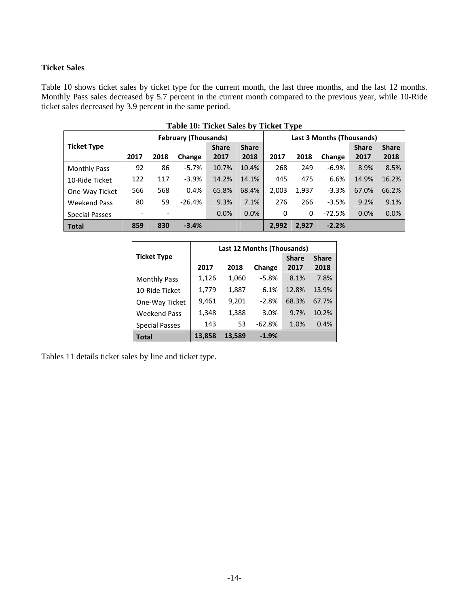#### **Ticket Sales**

Table 10 shows ticket sales by ticket type for the current month, the last three months, and the last 12 months. Monthly Pass sales decreased by 5.7 percent in the current month compared to the previous year, while 10-Ride ticket sales decreased by 3.9 percent in the same period.

| Table 10: Ticket Sales by Ticket Type |      |      |                             |              |              |                           |       |          |              |              |  |  |
|---------------------------------------|------|------|-----------------------------|--------------|--------------|---------------------------|-------|----------|--------------|--------------|--|--|
|                                       |      |      | <b>February (Thousands)</b> |              |              | Last 3 Months (Thousands) |       |          |              |              |  |  |
| <b>Ticket Type</b>                    |      |      |                             | <b>Share</b> | <b>Share</b> |                           |       |          | <b>Share</b> | <b>Share</b> |  |  |
|                                       | 2017 | 2018 | Change                      | 2017         | 2018         | 2017                      | 2018  | Change   | 2017         | 2018         |  |  |
| <b>Monthly Pass</b>                   | 92   | 86   | $-5.7%$                     | 10.7%        | 10.4%        | 268                       | 249   | $-6.9%$  | 8.9%         | 8.5%         |  |  |
| 10-Ride Ticket                        | 122  | 117  | $-3.9%$                     | 14.2%        | 14.1%        | 445                       | 475   | 6.6%     | 14.9%        | 16.2%        |  |  |
| One-Way Ticket                        | 566  | 568  | 0.4%                        | 65.8%        | 68.4%        | 2,003                     | 1,937 | $-3.3%$  | 67.0%        | 66.2%        |  |  |
| <b>Weekend Pass</b>                   | 80   | 59   | $-26.4%$                    | 9.3%         | 7.1%         | 276                       | 266   | $-3.5%$  | 9.2%         | 9.1%         |  |  |
| <b>Special Passes</b>                 |      |      |                             | 0.0%         | 0.0%         | 0                         | 0     | $-72.5%$ | 0.0%         | 0.0%         |  |  |
| <b>Total</b>                          | 859  | 830  | $-3.4%$                     |              |              | 2.992                     | 2,927 | $-2.2%$  |              |              |  |  |

|                       | Last 12 Months (Thousands) |        |          |              |              |  |  |  |  |
|-----------------------|----------------------------|--------|----------|--------------|--------------|--|--|--|--|
| <b>Ticket Type</b>    |                            |        |          | <b>Share</b> | <b>Share</b> |  |  |  |  |
|                       | 2017                       | 2018   | Change   | 2017         | 2018         |  |  |  |  |
| <b>Monthly Pass</b>   | 1,126                      | 1,060  | $-5.8%$  | 8.1%         | 7.8%         |  |  |  |  |
| 10-Ride Ticket        | 1,779                      | 1,887  | 6.1%     | 12.8%        | 13.9%        |  |  |  |  |
| One-Way Ticket        | 9,461                      | 9,201  | $-2.8%$  | 68.3%        | 67.7%        |  |  |  |  |
| <b>Weekend Pass</b>   | 1,348                      | 1,388  | 3.0%     | 9.7%         | 10.2%        |  |  |  |  |
| <b>Special Passes</b> | 143                        | 53     | $-62.8%$ | 1.0%         | 0.4%         |  |  |  |  |
| <b>Total</b>          | 13,858                     | 13,589 | $-1.9%$  |              |              |  |  |  |  |

Tables 11 details ticket sales by line and ticket type.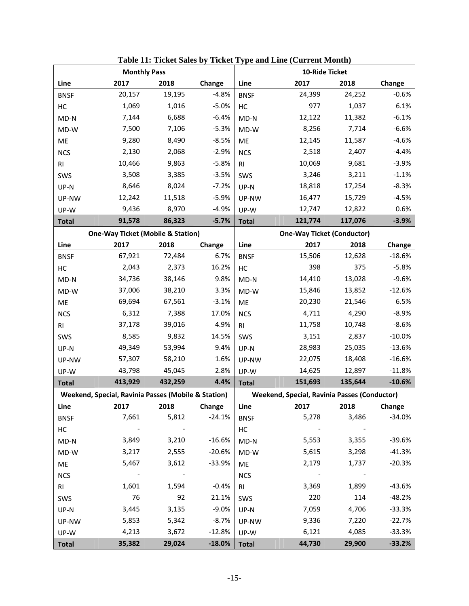|                | <b>Monthly Pass</b>                                 |                      |          |                | 10-Ride Ticket                                      |         |          |
|----------------|-----------------------------------------------------|----------------------|----------|----------------|-----------------------------------------------------|---------|----------|
| Line           | 2017                                                | 2018                 | Change   | Line           | 2017                                                | 2018    | Change   |
| <b>BNSF</b>    | 20,157                                              | 19,195               | $-4.8%$  | <b>BNSF</b>    | 24,399                                              | 24,252  | $-0.6%$  |
| HC             | 1,069                                               | 1,016                | $-5.0%$  | HC             | 977                                                 | 1,037   | 6.1%     |
| $MD-N$         | 7,144                                               | 6,688                | $-6.4%$  | $MD-N$         | 12,122                                              | 11,382  | $-6.1%$  |
| MD-W           | 7,500                                               | 7,106                | $-5.3%$  | MD-W           | 8,256                                               | 7,714   | $-6.6%$  |
| ME             | 9,280                                               | 8,490                | $-8.5%$  | ME             | 12,145                                              | 11,587  | $-4.6%$  |
| <b>NCS</b>     | 2,130                                               | 2,068                | $-2.9%$  | <b>NCS</b>     | 2,518                                               | 2,407   | $-4.4%$  |
| R <sub>l</sub> | 10,466                                              | 9,863                | $-5.8%$  | R <sub>l</sub> | 10,069                                              | 9,681   | $-3.9%$  |
| SWS            | 3,508                                               | 3,385                | $-3.5%$  | SWS            | 3,246                                               | 3,211   | $-1.1%$  |
| UP-N           | 8,646                                               | 8,024                | $-7.2%$  | UP-N           | 18,818                                              | 17,254  | $-8.3%$  |
| UP-NW          | 12,242                                              | 11,518               | $-5.9%$  | UP-NW          | 16,477                                              | 15,729  | $-4.5%$  |
| UP-W           | 9,436                                               | 8,970                | $-4.9%$  | UP-W           | 12,747                                              | 12,822  | 0.6%     |
| <b>Total</b>   | 91,578                                              | 86,323               | $-5.7%$  | <b>Total</b>   | 121,774                                             | 117,076 | $-3.9%$  |
|                | <b>One-Way Ticket (Mobile &amp; Station)</b>        |                      |          |                | <b>One-Way Ticket (Conductor)</b>                   |         |          |
| Line           | 2017                                                | 2018                 | Change   | Line           | 2017                                                | 2018    | Change   |
| <b>BNSF</b>    | 67,921                                              | 72,484               | 6.7%     | <b>BNSF</b>    | 15,506                                              | 12,628  | $-18.6%$ |
| HC             | 2,043                                               | 2,373                | 16.2%    | HC             | 398                                                 | 375     | $-5.8%$  |
| $MD-N$         | 34,736                                              | 38,146               | 9.8%     | $MD-N$         | 14,410                                              | 13,028  | $-9.6%$  |
| MD-W           | 37,006                                              | 38,210               | 3.3%     | MD-W           | 15,846                                              | 13,852  | $-12.6%$ |
| ME             | 69,694                                              | 67,561               | $-3.1%$  | ME             | 20,230                                              | 21,546  | 6.5%     |
| <b>NCS</b>     | 6,312                                               | 7,388                | 17.0%    | <b>NCS</b>     | 4,711                                               | 4,290   | $-8.9%$  |
| R <sub>l</sub> | 37,178                                              | 39,016               | 4.9%     | R <sub>l</sub> | 11,758                                              | 10,748  | $-8.6%$  |
| SWS            | 8,585                                               | 9,832                | 14.5%    | SWS            | 3,151                                               | 2,837   | $-10.0%$ |
| UP-N           | 49,349                                              | 53,994               | 9.4%     | UP-N           | 28,983                                              | 25,035  | $-13.6%$ |
| UP-NW          | 57,307                                              | 58,210               | 1.6%     | UP-NW          | 22,075                                              | 18,408  | $-16.6%$ |
| UP-W           | 43,798                                              | 45,045               | 2.8%     | UP-W           | 14,625                                              | 12,897  | $-11.8%$ |
| <b>Total</b>   | 413,929                                             | 432,259              | 4.4%     | <b>Total</b>   | 151,693                                             | 135,644 | $-10.6%$ |
|                | Weekend, Special, Ravinia Passes (Mobile & Station) |                      |          |                | <b>Weekend, Special, Ravinia Passes (Conductor)</b> |         |          |
| Line           | 2017                                                | 2018                 | Change   | Line           | 2017                                                | 2018    | Change   |
| <b>BNSF</b>    | 7,661                                               | 5,812                | $-24.1%$ | <b>BNSF</b>    | 5,278                                               | 3,486   | $-34.0%$ |
| HC             |                                                     |                      |          | HC             |                                                     |         |          |
| $MD-N$         | 3,849                                               | 3,210                | $-16.6%$ | $MD-N$         | 5,553                                               | 3,355   | $-39.6%$ |
| MD-W           | 3,217                                               | 2,555                | $-20.6%$ | $MD-W$         | 5,615                                               | 3,298   | $-41.3%$ |
| ME             | 5,467                                               | 3,612                | $-33.9%$ | ME             | 2,179                                               | 1,737   | $-20.3%$ |
| <b>NCS</b>     | $\sim$ $-$                                          | $\sim 100$ m $^{-1}$ |          | <b>NCS</b>     |                                                     |         |          |
| RI             | 1,601                                               | 1,594                | $-0.4%$  | <b>RI</b>      | 3,369                                               | 1,899   | $-43.6%$ |
| SWS            | 76                                                  | 92                   | 21.1%    | SWS            | 220                                                 | 114     | $-48.2%$ |
| UP-N           | 3,445                                               | 3,135                | $-9.0%$  | UP-N           | 7,059                                               | 4,706   | $-33.3%$ |
| UP-NW          | 5,853                                               | 5,342                | $-8.7%$  | UP-NW          | 9,336                                               | 7,220   | $-22.7%$ |
| UP-W           | 4,213                                               | 3,672                | $-12.8%$ | UP-W           | 6,121                                               | 4,085   | $-33.3%$ |
| <b>Total</b>   | 35,382                                              | 29,024               | $-18.0%$ | <b>Total</b>   | 44,730                                              | 29,900  | $-33.2%$ |

**Table 11: Ticket Sales by Ticket Type and Line (Current Month)**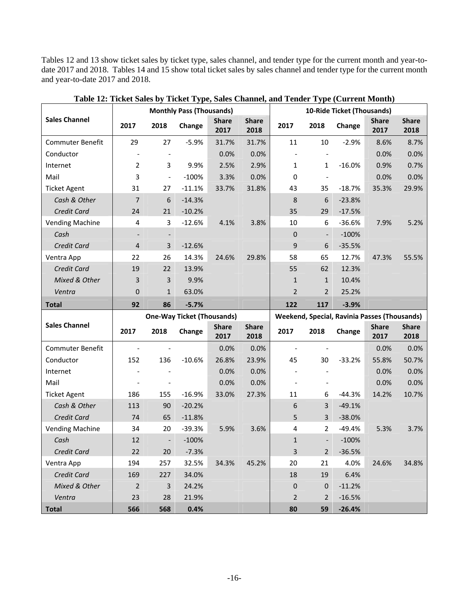Tables 12 and 13 show ticket sales by ticket type, sales channel, and tender type for the current month and year-todate 2017 and 2018. Tables 14 and 15 show total ticket sales by sales channel and tender type for the current month and year-to-date 2017 and 2018.

|                         |                |                          | <b>Monthly Pass (Thousands)</b>   |                      |                      |                          |                          | 10-Ride Ticket (Thousands)                   |                      |                      |
|-------------------------|----------------|--------------------------|-----------------------------------|----------------------|----------------------|--------------------------|--------------------------|----------------------------------------------|----------------------|----------------------|
| <b>Sales Channel</b>    | 2017           | 2018                     | Change                            | <b>Share</b><br>2017 | <b>Share</b><br>2018 | 2017                     | 2018                     | Change                                       | <b>Share</b><br>2017 | <b>Share</b><br>2018 |
| Commuter Benefit        | 29             | 27                       | $-5.9%$                           | 31.7%                | 31.7%                | 11                       | 10                       | $-2.9%$                                      | 8.6%                 | 8.7%                 |
| Conductor               |                |                          |                                   | 0.0%                 | 0.0%                 |                          |                          |                                              | 0.0%                 | 0.0%                 |
| Internet                | $\overline{2}$ | 3                        | 9.9%                              | 2.5%                 | 2.9%                 | 1                        | 1                        | $-16.0%$                                     | 0.9%                 | 0.7%                 |
| Mail                    | 3              | $\overline{\phantom{a}}$ | $-100%$                           | 3.3%                 | 0.0%                 | $\mathbf 0$              | $\overline{\phantom{a}}$ |                                              | 0.0%                 | 0.0%                 |
| <b>Ticket Agent</b>     | 31             | 27                       | $-11.1%$                          | 33.7%                | 31.8%                | 43                       | 35                       | $-18.7%$                                     | 35.3%                | 29.9%                |
| Cash & Other            | $\overline{7}$ | 6                        | $-14.3%$                          |                      |                      | 8                        | 6                        | $-23.8%$                                     |                      |                      |
| Credit Card             | 24             | 21                       | $-10.2%$                          |                      |                      | 35                       | 29                       | $-17.5%$                                     |                      |                      |
| <b>Vending Machine</b>  | 4              | 3                        | $-12.6%$                          | 4.1%                 | 3.8%                 | 10                       | 6                        | $-36.6%$                                     | 7.9%                 | 5.2%                 |
| Cash                    |                |                          |                                   |                      |                      | $\overline{0}$           |                          | $-100%$                                      |                      |                      |
| Credit Card             | 4              | $\overline{3}$           | $-12.6%$                          |                      |                      | 9                        | 6                        | $-35.5%$                                     |                      |                      |
| Ventra App              | 22             | 26                       | 14.3%                             | 24.6%                | 29.8%                | 58                       | 65                       | 12.7%                                        | 47.3%                | 55.5%                |
| Credit Card             | 19             | 22                       | 13.9%                             |                      |                      | 55                       | 62                       | 12.3%                                        |                      |                      |
| Mixed & Other           | 3              | 3                        | 9.9%                              |                      |                      | $\mathbf{1}$             | $\mathbf{1}$             | 10.4%                                        |                      |                      |
| Ventra                  | 0              | $\mathbf{1}$             | 63.0%                             |                      |                      | $\overline{2}$           | $\overline{2}$           | 25.2%                                        |                      |                      |
| <b>Total</b>            | 92             | 86                       | $-5.7%$                           |                      |                      | 122                      | 117                      | $-3.9%$                                      |                      |                      |
|                         |                |                          | <b>One-Way Ticket (Thousands)</b> |                      |                      |                          |                          | Weekend, Special, Ravinia Passes (Thousands) |                      |                      |
| <b>Sales Channel</b>    | 2017           | 2018                     | Change                            | <b>Share</b><br>2017 | <b>Share</b><br>2018 | 2017                     | 2018                     | Change                                       | <b>Share</b><br>2017 | <b>Share</b><br>2018 |
| <b>Commuter Benefit</b> |                |                          |                                   | 0.0%                 | 0.0%                 | $\overline{\phantom{a}}$ |                          |                                              | 0.0%                 | 0.0%                 |
| Conductor               | 152            | 136                      | $-10.6%$                          | 26.8%                | 23.9%                | 45                       | 30                       | $-33.2%$                                     | 55.8%                | 50.7%                |
| Internet                |                |                          |                                   | 0.0%                 | 0.0%                 |                          |                          |                                              | 0.0%                 | 0.0%                 |
| Mail                    |                |                          |                                   | 0.0%                 | 0.0%                 |                          |                          |                                              |                      | 0.0%                 |
| <b>Ticket Agent</b>     | 186            |                          |                                   |                      |                      |                          |                          |                                              | 0.0%                 |                      |
| Cash & Other            |                | 155                      | $-16.9%$                          | 33.0%                | 27.3%                | 11                       | 6                        | $-44.3%$                                     | 14.2%                | 10.7%                |
|                         | 113            | 90                       | $-20.2%$                          |                      |                      | 6                        | 3                        | $-49.1%$                                     |                      |                      |
| Credit Card             | 74             | 65                       | $-11.8%$                          |                      |                      | 5                        | 3                        | $-38.0%$                                     |                      |                      |
| <b>Vending Machine</b>  | 34             | 20                       | $-39.3%$                          | 5.9%                 | 3.6%                 | 4                        | $\overline{2}$           | $-49.4%$                                     | 5.3%                 | 3.7%                 |
| Cash                    | 12             | $\blacksquare$           | $-100%$                           |                      |                      | $\mathbf{1}$             | $\frac{1}{2}$            | $-100%$                                      |                      |                      |
| Credit Card             | 22             | 20                       | $-7.3%$                           |                      |                      | 3                        | $\overline{2}$           | $-36.5%$                                     |                      |                      |
| Ventra App              | 194            | 257                      | 32.5%                             | 34.3%                | 45.2%                | 20                       | 21                       | 4.0%                                         | 24.6%                | 34.8%                |
| Credit Card             | 169            | 227                      | 34.0%                             |                      |                      | 18                       | 19                       | 6.4%                                         |                      |                      |
| Mixed & Other           | $\overline{2}$ | $\mathsf{3}$             | 24.2%                             |                      |                      | 0                        | 0                        | $-11.2%$                                     |                      |                      |
| Ventra                  | 23             | 28                       | 21.9%                             |                      |                      | 2                        | 2                        | $-16.5%$                                     |                      |                      |

| Table 12: Ticket Sales by Ticket Type, Sales Channel, and Tender Type (Current Month) |
|---------------------------------------------------------------------------------------|
|---------------------------------------------------------------------------------------|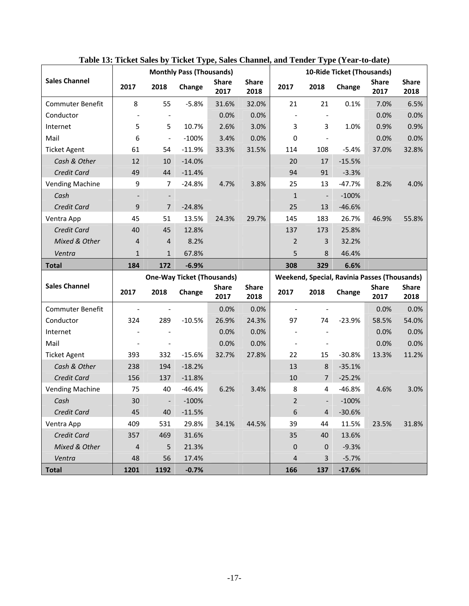|                         |                              |                          | <b>Monthly Pass (Thousands)</b>   |                      |                      |                              |                          | 10-Ride Ticket (Thousands)                   |                      |                      |
|-------------------------|------------------------------|--------------------------|-----------------------------------|----------------------|----------------------|------------------------------|--------------------------|----------------------------------------------|----------------------|----------------------|
| <b>Sales Channel</b>    | 2017                         | 2018                     | Change                            | <b>Share</b><br>2017 | <b>Share</b><br>2018 | 2017                         | 2018                     | Change                                       | <b>Share</b><br>2017 | <b>Share</b><br>2018 |
| <b>Commuter Benefit</b> | 8                            | 55                       | $-5.8%$                           | 31.6%                | 32.0%                | 21                           | 21                       | 0.1%                                         | 7.0%                 | 6.5%                 |
| Conductor               |                              |                          |                                   | 0.0%                 | 0.0%                 |                              | $\overline{\phantom{a}}$ |                                              | 0.0%                 | 0.0%                 |
| Internet                | 5                            | 5                        | 10.7%                             | 2.6%                 | 3.0%                 | 3                            | 3                        | 1.0%                                         | 0.9%                 | 0.9%                 |
| Mail                    | 6                            | $\overline{\phantom{0}}$ | $-100%$                           | 3.4%                 | 0.0%                 | 0                            | $\blacksquare$           |                                              | 0.0%                 | 0.0%                 |
| <b>Ticket Agent</b>     | 61                           | 54                       | $-11.9%$                          | 33.3%                | 31.5%                | 114                          | 108                      | $-5.4%$                                      | 37.0%                | 32.8%                |
| Cash & Other            | 12                           | 10                       | $-14.0%$                          |                      |                      | 20                           | 17                       | $-15.5%$                                     |                      |                      |
| Credit Card             | 49                           | 44                       | $-11.4%$                          |                      |                      | 94                           | 91                       | $-3.3%$                                      |                      |                      |
| <b>Vending Machine</b>  | 9                            | 7                        | $-24.8%$                          | 4.7%                 | 3.8%                 | 25                           | 13                       | $-47.7%$                                     | 8.2%                 | 4.0%                 |
| Cash                    | $\qquad \qquad \blacksquare$ | $\overline{\phantom{a}}$ |                                   |                      |                      | $\mathbf{1}$                 | $\overline{\phantom{a}}$ | $-100%$                                      |                      |                      |
| Credit Card             | 9                            | $\overline{7}$           | $-24.8%$                          |                      |                      | 25                           | 13                       | $-46.6%$                                     |                      |                      |
| Ventra App              | 45                           | 51                       | 13.5%                             | 24.3%                | 29.7%                | 145                          | 183                      | 26.7%                                        | 46.9%                | 55.8%                |
| Credit Card             | 40                           | 45                       | 12.8%                             |                      |                      | 137                          | 173                      | 25.8%                                        |                      |                      |
| Mixed & Other           | 4                            | 4                        | 8.2%                              |                      |                      | 2                            | 3                        | 32.2%                                        |                      |                      |
| Ventra                  | $\mathbf{1}$                 | 1                        | 67.8%                             |                      |                      | 5                            | 8                        | 46.4%                                        |                      |                      |
| <b>Total</b>            | 184                          | 172                      | $-6.9%$                           |                      |                      | 308                          | 329                      | 6.6%                                         |                      |                      |
|                         |                              |                          | <b>One-Way Ticket (Thousands)</b> |                      |                      |                              |                          | Weekend, Special, Ravinia Passes (Thousands) |                      |                      |
| <b>Sales Channel</b>    | 2017                         | 2018                     | Change                            | <b>Share</b><br>2017 | <b>Share</b><br>2018 | 2017                         | 2018                     | Change                                       | <b>Share</b><br>2017 | <b>Share</b><br>2018 |
| Commuter Benefit        |                              |                          |                                   | 0.0%                 | 0.0%                 | $\overline{\phantom{a}}$     | $\overline{\phantom{a}}$ |                                              | 0.0%                 | 0.0%                 |
| Conductor               | 324                          | 289                      | $-10.5%$                          | 26.9%                | 24.3%                | 97                           | 74                       | $-23.9%$                                     | 58.5%                | 54.0%                |
| Internet                |                              |                          |                                   | 0.0%                 | 0.0%                 |                              |                          |                                              | 0.0%                 | 0.0%                 |
| Mail                    |                              |                          |                                   | 0.0%                 | 0.0%                 | $\qquad \qquad \blacksquare$ |                          |                                              | 0.0%                 | 0.0%                 |
| <b>Ticket Agent</b>     | 393                          | 332                      | $-15.6%$                          | 32.7%                | 27.8%                | 22                           | 15                       | $-30.8%$                                     | 13.3%                | 11.2%                |
| Cash & Other            | 238                          | 194                      | $-18.2%$                          |                      |                      | 13                           | 8                        | $-35.1%$                                     |                      |                      |
| Credit Card             |                              |                          |                                   |                      |                      |                              |                          |                                              |                      |                      |
|                         | 156                          | 137                      | $-11.8%$                          |                      |                      | 10                           | 7                        | $-25.2%$                                     |                      |                      |
| <b>Vending Machine</b>  | 75                           | 40                       | $-46.4%$                          | 6.2%                 | 3.4%                 | 8                            | 4                        | $-46.8%$                                     | 4.6%                 | 3.0%                 |
| Cash                    | 30                           | $\overline{\phantom{a}}$ | $-100%$                           |                      |                      | $\overline{2}$               | $\overline{\phantom{a}}$ | $-100%$                                      |                      |                      |
| Credit Card             | 45                           | 40                       | $-11.5%$                          |                      |                      | 6                            | $\overline{4}$           | $-30.6%$                                     |                      |                      |
| Ventra App              | 409                          | 531                      | 29.8%                             | 34.1%                | 44.5%                | 39                           | 44                       | 11.5%                                        | 23.5%                | 31.8%                |
| Credit Card             | 357                          | 469                      | 31.6%                             |                      |                      | 35                           | 40                       | 13.6%                                        |                      |                      |
| Mixed & Other           | 4                            | 5                        | 21.3%                             |                      |                      | 0                            | $\mathbf 0$              | $-9.3%$                                      |                      |                      |
| Ventra                  | 48                           | 56                       | 17.4%                             |                      |                      | 4                            | 3                        | $-5.7%$                                      |                      |                      |

**Table 13: Ticket Sales by Ticket Type, Sales Channel, and Tender Type (Year-to-date)**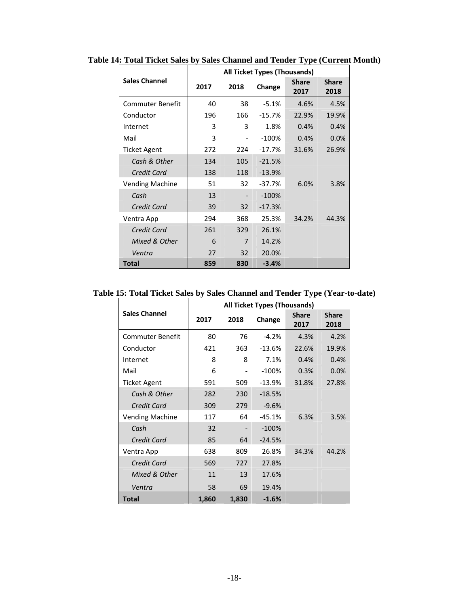|                         | All Ticket Types (Thousands) |                   |          |                      |                      |  |  |
|-------------------------|------------------------------|-------------------|----------|----------------------|----------------------|--|--|
| <b>Sales Channel</b>    | 2017                         | 2018              | Change   | <b>Share</b><br>2017 | <b>Share</b><br>2018 |  |  |
| <b>Commuter Benefit</b> | 40                           | 38                | $-5.1%$  | 4.6%                 | 4.5%                 |  |  |
| Conductor               | 196                          | 166               | $-15.7%$ | 22.9%                | 19.9%                |  |  |
| Internet                | 3                            | 3                 | 1.8%     | 0.4%                 | 0.4%                 |  |  |
| Mail                    | 3                            | $\qquad \qquad -$ | $-100%$  | 0.4%                 | 0.0%                 |  |  |
| Ticket Agent            | 272                          | 224               | $-17.7%$ | 31.6%                | 26.9%                |  |  |
| Cash & Other            | 134                          | 105               | $-21.5%$ |                      |                      |  |  |
| Credit Card             | 138                          | 118               | $-13.9%$ |                      |                      |  |  |
| <b>Vending Machine</b>  | 51                           | 32                | -37.7%   | 6.0%                 | 3.8%                 |  |  |
| Cash                    | 13                           |                   | $-100%$  |                      |                      |  |  |
| Credit Card             | 39                           | 32                | $-17.3%$ |                      |                      |  |  |
| Ventra App              | 294                          | 368               | 25.3%    | 34.2%                | 44.3%                |  |  |
| Credit Card             | 261                          | 329               | 26.1%    |                      |                      |  |  |
| Mixed & Other           | 6                            | 7                 | 14.2%    |                      |                      |  |  |
| Ventra                  | 27                           | 32                | 20.0%    |                      |                      |  |  |
| <b>Total</b>            | 859                          | 830               | $-3.4%$  |                      |                      |  |  |

**Table 14: Total Ticket Sales by Sales Channel and Tender Type (Current Month)** 

**Table 15: Total Ticket Sales by Sales Channel and Tender Type (Year-to-date)** 

|                         | <b>All Ticket Types (Thousands)</b> |       |          |                      |                      |  |  |  |
|-------------------------|-------------------------------------|-------|----------|----------------------|----------------------|--|--|--|
| <b>Sales Channel</b>    | 2017                                | 2018  | Change   | <b>Share</b><br>2017 | <b>Share</b><br>2018 |  |  |  |
| <b>Commuter Benefit</b> | 80                                  | 76    | $-4.2%$  | 4.3%                 | 4.2%                 |  |  |  |
| Conductor               | 421                                 | 363   | $-13.6%$ | 22.6%                | 19.9%                |  |  |  |
| Internet                | 8                                   | 8     | 7.1%     | 0.4%                 | 0.4%                 |  |  |  |
| Mail                    | 6                                   |       | $-100%$  | 0.3%                 | 0.0%                 |  |  |  |
| <b>Ticket Agent</b>     | 591                                 | 509   | $-13.9%$ | 31.8%                | 27.8%                |  |  |  |
| Cash & Other            | 282                                 | 230   | $-18.5%$ |                      |                      |  |  |  |
| Credit Card             | 309                                 | 279   | $-9.6%$  |                      |                      |  |  |  |
| <b>Vending Machine</b>  | 117                                 | 64    | $-45.1%$ | 6.3%                 | 3.5%                 |  |  |  |
| Cash                    | 32                                  |       | $-100\%$ |                      |                      |  |  |  |
| Credit Card             | 85                                  | 64    | $-24.5%$ |                      |                      |  |  |  |
| Ventra App              | 638                                 | 809   | 26.8%    | 34.3%                | 44.2%                |  |  |  |
| Credit Card             | 569                                 | 727   | 27.8%    |                      |                      |  |  |  |
| Mixed & Other           | 11                                  | 13    | 17.6%    |                      |                      |  |  |  |
| Ventra                  | 58                                  | 69    | 19.4%    |                      |                      |  |  |  |
| Total                   | 1,860                               | 1,830 | $-1.6%$  |                      |                      |  |  |  |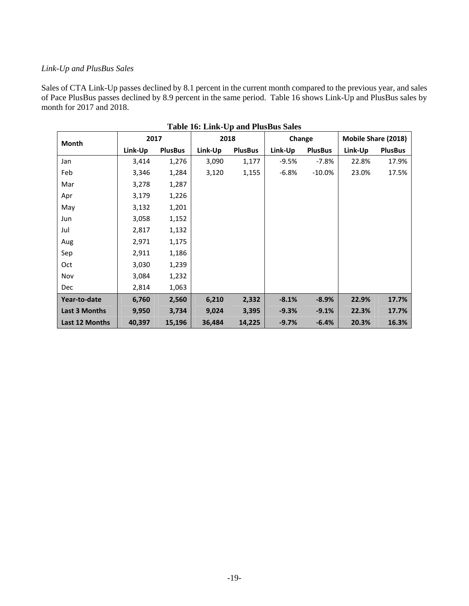## *Link-Up and PlusBus Sales*

Sales of CTA Link-Up passes declined by 8.1 percent in the current month compared to the previous year, and sales of Pace PlusBus passes declined by 8.9 percent in the same period. Table 16 shows Link-Up and PlusBus sales by month for 2017 and 2018.

| Month          | 2017    |                | $ep$ and $1 \text{ days}$ $\omega$ $\omega$ $\omega$<br>2018 |                | Change  |                | Mobile Share (2018) |                |
|----------------|---------|----------------|--------------------------------------------------------------|----------------|---------|----------------|---------------------|----------------|
|                | Link-Up | <b>PlusBus</b> | Link-Up                                                      | <b>PlusBus</b> | Link-Up | <b>PlusBus</b> | Link-Up             | <b>PlusBus</b> |
| Jan            | 3,414   | 1,276          | 3,090                                                        | 1,177          | $-9.5%$ | $-7.8%$        | 22.8%               | 17.9%          |
| Feb            | 3,346   | 1,284          | 3,120                                                        | 1,155          | $-6.8%$ | $-10.0\%$      | 23.0%               | 17.5%          |
| Mar            | 3,278   | 1,287          |                                                              |                |         |                |                     |                |
| Apr            | 3,179   | 1,226          |                                                              |                |         |                |                     |                |
| May            | 3,132   | 1,201          |                                                              |                |         |                |                     |                |
| Jun            | 3,058   | 1,152          |                                                              |                |         |                |                     |                |
| Jul            | 2,817   | 1,132          |                                                              |                |         |                |                     |                |
| Aug            | 2,971   | 1,175          |                                                              |                |         |                |                     |                |
| Sep            | 2,911   | 1,186          |                                                              |                |         |                |                     |                |
| Oct            | 3,030   | 1,239          |                                                              |                |         |                |                     |                |
| Nov            | 3,084   | 1,232          |                                                              |                |         |                |                     |                |
| <b>Dec</b>     | 2,814   | 1,063          |                                                              |                |         |                |                     |                |
| Year-to-date   | 6,760   | 2,560          | 6,210                                                        | 2,332          | $-8.1%$ | $-8.9%$        | 22.9%               | 17.7%          |
| Last 3 Months  | 9,950   | 3,734          | 9,024                                                        | 3,395          | $-9.3%$ | $-9.1%$        | 22.3%               | 17.7%          |
| Last 12 Months | 40,397  | 15,196         | 36,484                                                       | 14,225         | $-9.7%$ | $-6.4%$        | 20.3%               | 16.3%          |

| Table 16: Link-Up and PlusBus Sales |
|-------------------------------------|
|-------------------------------------|